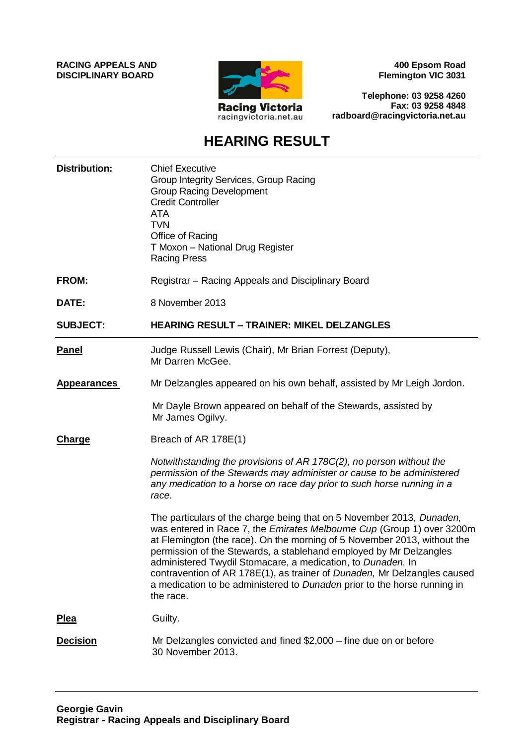**RACING APPEALS AND DISCIPLINARY BOARD**



**400 Epsom Road Flemington VIC 3031**

**Telephone: 03 9258 4260 Fax: 03 9258 4848 radboard@racingvictoria.net.au**

# **HEARING RESULT**

| <b>Distribution:</b> | <b>Chief Executive</b><br>Group Integrity Services, Group Racing<br><b>Group Racing Development</b><br><b>Credit Controller</b><br><b>ATA</b><br><b>TVN</b><br>Office of Racing<br>T Moxon - National Drug Register<br><b>Racing Press</b>                                                                                                                                                                                                                                                                                            |
|----------------------|---------------------------------------------------------------------------------------------------------------------------------------------------------------------------------------------------------------------------------------------------------------------------------------------------------------------------------------------------------------------------------------------------------------------------------------------------------------------------------------------------------------------------------------|
| <b>FROM:</b>         | Registrar - Racing Appeals and Disciplinary Board                                                                                                                                                                                                                                                                                                                                                                                                                                                                                     |
| DATE:                | 8 November 2013                                                                                                                                                                                                                                                                                                                                                                                                                                                                                                                       |
| <b>SUBJECT:</b>      | <b>HEARING RESULT - TRAINER: MIKEL DELZANGLES</b>                                                                                                                                                                                                                                                                                                                                                                                                                                                                                     |
| <b>Panel</b>         | Judge Russell Lewis (Chair), Mr Brian Forrest (Deputy),<br>Mr Darren McGee.                                                                                                                                                                                                                                                                                                                                                                                                                                                           |
| <b>Appearances</b>   | Mr Delzangles appeared on his own behalf, assisted by Mr Leigh Jordon.                                                                                                                                                                                                                                                                                                                                                                                                                                                                |
|                      | Mr Dayle Brown appeared on behalf of the Stewards, assisted by<br>Mr James Ogilvy.                                                                                                                                                                                                                                                                                                                                                                                                                                                    |
| <b>Charge</b>        | Breach of AR 178E(1)                                                                                                                                                                                                                                                                                                                                                                                                                                                                                                                  |
|                      | Notwithstanding the provisions of AR 178C(2), no person without the<br>permission of the Stewards may administer or cause to be administered<br>any medication to a horse on race day prior to such horse running in a<br>race.                                                                                                                                                                                                                                                                                                       |
|                      | The particulars of the charge being that on 5 November 2013, Dunaden,<br>was entered in Race 7, the Emirates Melbourne Cup (Group 1) over 3200m<br>at Flemington (the race). On the morning of 5 November 2013, without the<br>permission of the Stewards, a stablehand employed by Mr Delzangles<br>administered Twydil Stomacare, a medication, to Dunaden. In<br>contravention of AR 178E(1), as trainer of Dunaden, Mr Delzangles caused<br>a medication to be administered to Dunaden prior to the horse running in<br>the race. |
| <b>Plea</b>          | Guilty.                                                                                                                                                                                                                                                                                                                                                                                                                                                                                                                               |
| <b>Decision</b>      | Mr Delzangles convicted and fined \$2,000 – fine due on or before<br>30 November 2013.                                                                                                                                                                                                                                                                                                                                                                                                                                                |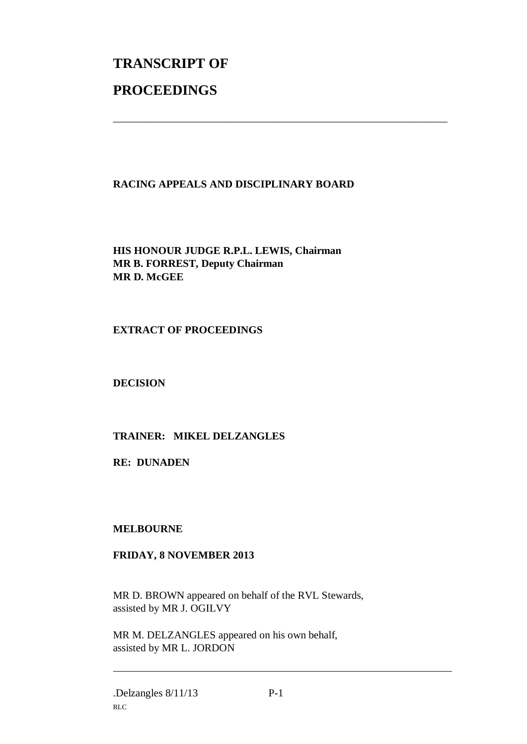# **TRANSCRIPT OF PROCEEDINGS**

## **RACING APPEALS AND DISCIPLINARY BOARD**

\_\_\_\_\_\_\_\_\_\_\_\_\_\_\_\_\_\_\_\_\_\_\_\_\_\_\_\_\_\_\_\_\_\_\_\_\_\_\_\_\_\_\_\_\_\_\_\_\_\_\_\_\_\_\_\_\_\_\_\_\_\_\_

**HIS HONOUR JUDGE R.P.L. LEWIS, Chairman MR B. FORREST, Deputy Chairman MR D. McGEE**

#### **EXTRACT OF PROCEEDINGS**

#### **DECISION**

## **TRAINER: MIKEL DELZANGLES**

#### **RE: DUNADEN**

#### **MELBOURNE**

#### **FRIDAY, 8 NOVEMBER 2013**

MR D. BROWN appeared on behalf of the RVL Stewards, assisted by MR J. OGILVY

MR M. DELZANGLES appeared on his own behalf, assisted by MR L. JORDON